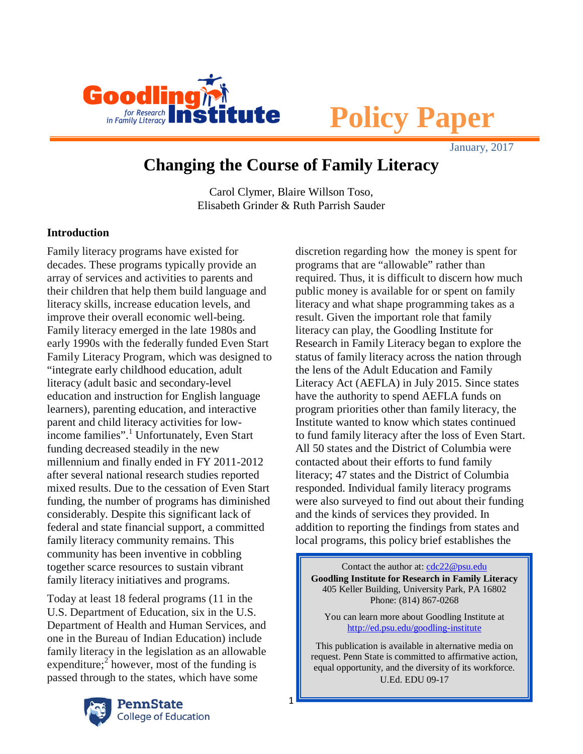

# **Policy Paper**

January, 2017

# **Changing the Course of Family Literacy**

Carol Clymer, Blaire Willson Toso, Elisabeth Grinder & Ruth Parrish Sauder

1

# **Introduction**

Family literacy programs have existed for decades. These programs typically provide an array of services and activities to parents and their children that help them build language and literacy skills, increase education levels, and improve their overall economic well-being. Family literacy emerged in the late 1980s and early 1990s with the federally funded Even Start Family Literacy Program, which was designed to "integrate early childhood education, adult literacy (adult basic and secondary-level education and instruction for English language learners), parenting education, and interactive parent and child literacy activities for lowincome families". [1](#page-13-0) Unfortunately, Even Start funding decreased steadily in the new millennium and finally ended in FY 2011-2012 after several national research studies reported mixed results. Due to the cessation of Even Start funding, the number of programs has diminished considerably. Despite this significant lack of federal and state financial support, a committed family literacy community remains. This community has been inventive in cobbling together scarce resources to sustain vibrant family literacy initiatives and programs.

Today at least 18 federal programs (11 in the U.S. Department of Education, six in the U.S. Department of Health and Human Services, and one in the Bureau of Indian Education) include family literacy in the legislation as an allowable expenditure;<sup>[2](#page-13-1)</sup> however, most of the funding is passed through to the states, which have some



discretion regarding how the money is spent for programs that are "allowable" rather than required. Thus, it is difficult to discern how much public money is available for or spent on family literacy and what shape programming takes as a result. Given the important role that family literacy can play, the Goodling Institute for Research in Family Literacy began to explore the status of family literacy across the nation through the lens of the Adult Education and Family Literacy Act (AEFLA) in July 2015. Since states have the authority to spend AEFLA funds on program priorities other than family literacy, the Institute wanted to know which states continued to fund family literacy after the loss of Even Start. All 50 states and the District of Columbia were contacted about their efforts to fund family literacy; 47 states and the District of Columbia responded. Individual family literacy programs were also surveyed to find out about their funding and the kinds of services they provided. In addition to reporting the findings from states and local programs, this policy brief establishes the

Contact the author at: [cdc22@psu.edu](mailto:cdc22@psu.edu) **Goodling Institute for Research in Family Literacy** 405 Keller Building, University Park, PA 16802 Phone: (814) 867-0268

You can learn more about Goodling Institute at <http://ed.psu.edu/goodling-institute>

This publication is available in alternative media on request. Penn State is committed to affirmative action, equal opportunity, and the diversity of its workforce. U.Ed. EDU 09-17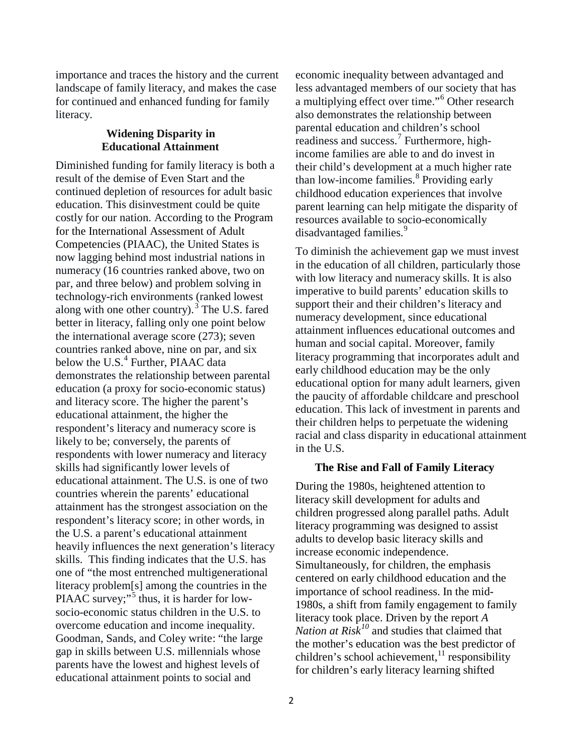importance and traces the history and the current landscape of family literacy, and makes the case for continued and enhanced funding for family literacy.

#### **Widening Disparity in Educational Attainment**

Diminished funding for family literacy is both a result of the demise of Even Start and the continued depletion of resources for adult basic education. This disinvestment could be quite costly for our nation. According to the Program for the International Assessment of Adult Competencies (PIAAC), the United States is now lagging behind most industrial nations in numeracy (16 countries ranked above, two on par, and three below) and problem solving in technology-rich environments (ranked lowest along with one other country).<sup>[3](#page-13-2)</sup> The U.S. fared better in literacy, falling only one point below the international average score (273); seven countries ranked above, nine on par, and six below the U.S.<sup>[4](#page-13-3)</sup> Further, PIAAC data demonstrates the relationship between parental education (a proxy for socio-economic status) and literacy score. The higher the parent's educational attainment, the higher the respondent's literacy and numeracy score is likely to be; conversely, the parents of respondents with lower numeracy and literacy skills had significantly lower levels of educational attainment. The U.S. is one of two countries wherein the parents' educational attainment has the strongest association on the respondent's literacy score; in other words, in the U.S. a parent's educational attainment heavily influences the next generation's literacy skills. This finding indicates that the U.S. has one of "the most entrenched multigenerational literacy problem[s] among the countries in the PIAAC survey;" $5$  thus, it is harder for lowsocio-economic status children in the U.S. to overcome education and income inequality. Goodman, Sands, and Coley write: "the large gap in skills between U.S. millennials whose parents have the lowest and highest levels of educational attainment points to social and

economic inequality between advantaged and less advantaged members of our society that has a multiplying effect over time."[6](#page-13-5) Other research also demonstrates the relationship between parental education and children's school readiness and success.<sup>[7](#page-13-6)</sup> Furthermore, highincome families are able to and do invest in their child's development at a much higher rate than low-income families.<sup>[8](#page-14-0)</sup> Providing early childhood education experiences that involve parent learning can help mitigate the disparity of resources available to socio-economically disadvantaged families.<sup>[9](#page-14-1)</sup>

To diminish the achievement gap we must invest in the education of all children, particularly those with low literacy and numeracy skills. It is also imperative to build parents' education skills to support their and their children's literacy and numeracy development, since educational attainment influences educational outcomes and human and social capital. Moreover, family literacy programming that incorporates adult and early childhood education may be the only educational option for many adult learners, given the paucity of affordable childcare and preschool education. This lack of investment in parents and their children helps to perpetuate the widening racial and class disparity in educational attainment in the U.S.

#### **The Rise and Fall of Family Literacy**

During the 1980s, heightened attention to literacy skill development for adults and children progressed along parallel paths. Adult literacy programming was designed to assist adults to develop basic literacy skills and increase economic independence. Simultaneously, for children, the emphasis centered on early childhood education and the importance of school readiness. In the mid-1980s, a shift from family engagement to family literacy took place. Driven by the report *A Nation at Risk[10](#page-14-2)* and studies that claimed that the mother's education was the best predictor of children's school achievement, <sup>[11](#page-14-3)</sup> responsibility for children's early literacy learning shifted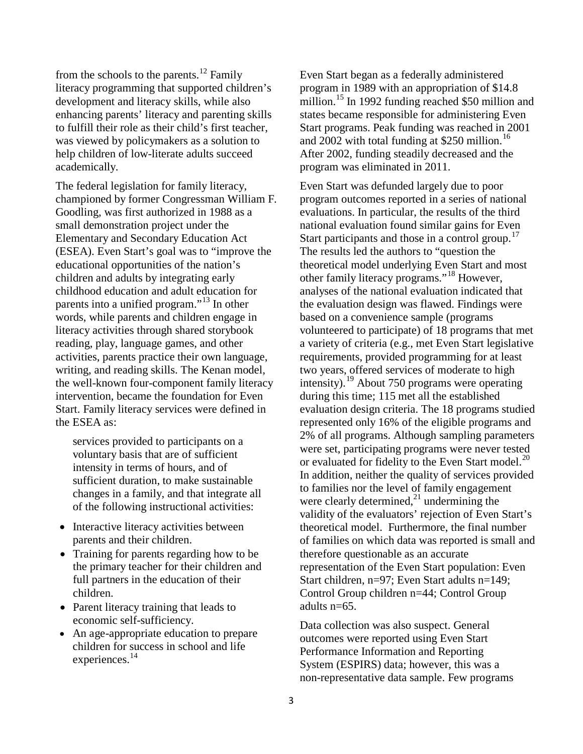from the schools to the parents.<sup>[12](#page-14-4)</sup> Family literacy programming that supported children's development and literacy skills, while also enhancing parents' literacy and parenting skills to fulfill their role as their child's first teacher, was viewed by policymakers as a solution to help children of low-literate adults succeed academically.

The federal legislation for family literacy, championed by former Congressman William F. Goodling, was first authorized in 1988 as a small demonstration project under the Elementary and Secondary Education Act (ESEA). Even Start's goal was to "improve the educational opportunities of the nation's children and adults by integrating early childhood education and adult education for parents into a unified program."<sup>[13](#page-14-5)</sup> In other words, while parents and children engage in literacy activities through shared storybook reading, play, language games, and other activities, parents practice their own language, writing, and reading skills. The Kenan model, the well-known four-component family literacy intervention, became the foundation for Even Start. Family literacy services were defined in the ESEA as:

services provided to participants on a voluntary basis that are of sufficient intensity in terms of hours, and of sufficient duration, to make sustainable changes in a family, and that integrate all of the following instructional activities:

- Interactive literacy activities between parents and their children.
- Training for parents regarding how to be the primary teacher for their children and full partners in the education of their children.
- Parent literacy training that leads to economic self-sufficiency.
- An age-appropriate education to prepare children for success in school and life experiences.<sup>[14](#page-14-6)</sup>

Even Start began as a federally administered program in 1989 with an appropriation of \$14.8 million.<sup>[15](#page-14-7)</sup> In 1992 funding reached \$50 million and states became responsible for administering Even Start programs. Peak funding was reached in 2001 and 2002 with total funding at \$250 million.<sup>[16](#page-14-8)</sup> After 2002, funding steadily decreased and the program was eliminated in 2011.

Even Start was defunded largely due to poor program outcomes reported in a series of national evaluations. In particular, the results of the third national evaluation found similar gains for Even Start participants and those in a control group. $17$ The results led the authors to "question the theoretical model underlying Even Start and most other family literacy programs."[18](#page-15-0) However, analyses of the national evaluation indicated that the evaluation design was flawed. Findings were based on a convenience sample (programs volunteered to participate) of 18 programs that met a variety of criteria (e.g., met Even Start legislative requirements, provided programming for at least two years, offered services of moderate to high intensity).[19](#page-15-1) About 750 programs were operating during this time; 115 met all the established evaluation design criteria. The 18 programs studied represented only 16% of the eligible programs and 2% of all programs. Although sampling parameters were set, participating programs were never tested or evaluated for fidelity to the Even Start model.<sup>[20](#page-15-2)</sup> In addition, neither the quality of services provided to families nor the level of family engagement were clearly determined, $^{21}$  $^{21}$  $^{21}$  undermining the validity of the evaluators' rejection of Even Start's theoretical model. Furthermore, the final number of families on which data was reported is small and therefore questionable as an accurate representation of the Even Start population: Even Start children, n=97; Even Start adults n=149; Control Group children n=44; Control Group adults n=65.

Data collection was also suspect. General outcomes were reported using Even Start Performance Information and Reporting System (ESPIRS) data; however, this was a non-representative data sample. Few programs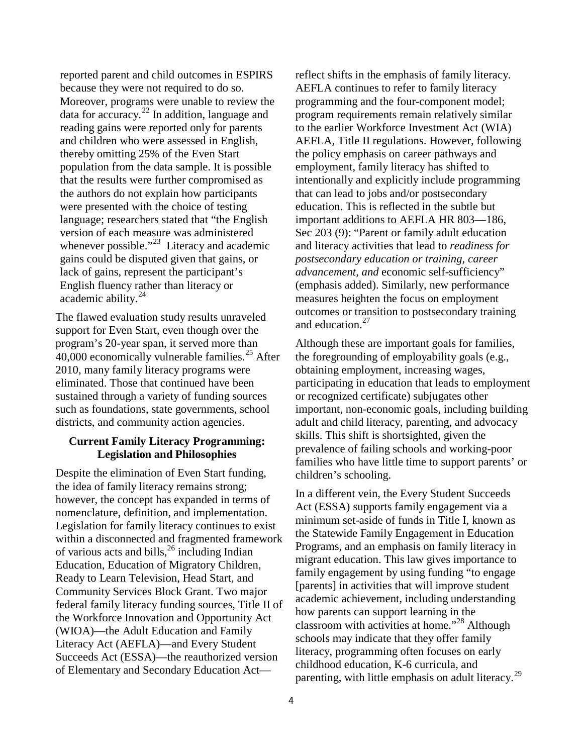reported parent and child outcomes in ESPIRS because they were not required to do so. Moreover, programs were unable to review the data for accuracy. [22](#page-15-4) In addition, language and reading gains were reported only for parents and children who were assessed in English, thereby omitting 25% of the Even Start population from the data sample. It is possible that the results were further compromised as the authors do not explain how participants were presented with the choice of testing language; researchers stated that "the English version of each measure was administered whenever possible."<sup>23</sup> Literacy and academic gains could be disputed given that gains, or lack of gains, represent the participant's English fluency rather than literacy or academic ability. [24](#page-15-6)

The flawed evaluation study results unraveled support for Even Start, even though over the program's 20-year span, it served more than  $40,000$  economically vulnerable families.<sup>[25](#page-15-7)</sup> After 2010, many family literacy programs were eliminated. Those that continued have been sustained through a variety of funding sources such as foundations, state governments, school districts, and community action agencies.

#### **Current Family Literacy Programming: Legislation and Philosophies**

Despite the elimination of Even Start funding, the idea of family literacy remains strong; however, the concept has expanded in terms of nomenclature, definition, and implementation. Legislation for family literacy continues to exist within a disconnected and fragmented framework of various acts and bills, [26](#page-15-8) including Indian Education, Education of Migratory Children, Ready to Learn Television, Head Start, and Community Services Block Grant. Two major federal family literacy funding sources, Title II of the Workforce Innovation and Opportunity Act (WIOA)—the Adult Education and Family Literacy Act (AEFLA)—and Every Student Succeeds Act (ESSA)—the reauthorized version of Elementary and Secondary Education Actreflect shifts in the emphasis of family literacy. AEFLA continues to refer to family literacy programming and the four-component model; program requirements remain relatively similar to the earlier Workforce Investment Act (WIA) AEFLA, Title II regulations. However, following the policy emphasis on career pathways and employment, family literacy has shifted to intentionally and explicitly include programming that can lead to jobs and/or postsecondary education. This is reflected in the subtle but important additions to AEFLA HR 803—186, Sec 203 (9): "Parent or family adult education and literacy activities that lead to *readiness for postsecondary education or training, career advancement, and* economic self-sufficiency" (emphasis added). Similarly, new performance measures heighten the focus on employment outcomes or transition to postsecondary training and education. [27](#page-15-9)

Although these are important goals for families, the foregrounding of employability goals (e.g., obtaining employment, increasing wages, participating in education that leads to employment or recognized certificate) subjugates other important, non-economic goals, including building adult and child literacy, parenting, and advocacy skills. This shift is shortsighted, given the prevalence of failing schools and working-poor families who have little time to support parents' or children's schooling.

In a different vein, the Every Student Succeeds Act (ESSA) supports family engagement via a minimum set-aside of funds in Title I, known as the Statewide Family Engagement in Education Programs, and an emphasis on family literacy in migrant education. This law gives importance to family engagement by using funding "to engage [parents] in activities that will improve student academic achievement, including understanding how parents can support learning in the classroom with activities at home."[28](#page-15-10) Although schools may indicate that they offer family literacy, programming often focuses on early childhood education, K-6 curricula, and parenting, with little emphasis on adult literacy.<sup>[29](#page-15-2)</sup>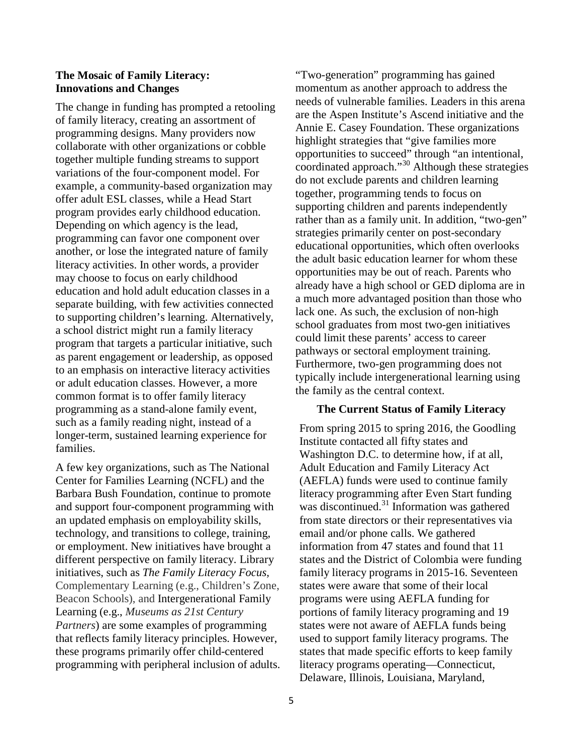#### **The Mosaic of Family Literacy: Innovations and Changes**

The change in funding has prompted a retooling of family literacy, creating an assortment of programming designs. Many providers now collaborate with other organizations or cobble together multiple funding streams to support variations of the four-component model. For example, a community-based organization may offer adult ESL classes, while a Head Start program provides early childhood education. Depending on which agency is the lead, programming can favor one component over another, or lose the integrated nature of family literacy activities. In other words, a provider may choose to focus on early childhood education and hold adult education classes in a separate building, with few activities connected to supporting children's learning. Alternatively, a school district might run a family literacy program that targets a particular initiative, such as parent engagement or leadership, as opposed to an emphasis on interactive literacy activities or adult education classes. However, a more common format is to offer family literacy programming as a stand-alone family event, such as a family reading night, instead of a longer-term, sustained learning experience for families.

A few key organizations, such as The National Center for Families Learning (NCFL) and the Barbara Bush Foundation, continue to promote and support four-component programming with an updated emphasis on employability skills, technology, and transitions to college, training, or employment. New initiatives have brought a different perspective on family literacy. Library initiatives, such as *The Family Literacy Focus,* Complementary Learning (e.g., Children's Zone, Beacon Schools), and Intergenerational Family Learning (e.g., *Museums as 21st Century Partners*) are some examples of programming that reflects family literacy principles. However, these programs primarily offer child-centered programming with peripheral inclusion of adults. "Two-generation" programming has gained momentum as another approach to address the needs of vulnerable families. Leaders in this arena are the Aspen Institute's Ascend initiative and the Annie E. Casey Foundation. These organizations highlight strategies that "give families more opportunities to succeed" through "an intentional, coordinated approach."<sup>[30](#page-15-11)</sup> Although these strategies do not exclude parents and children learning together, programming tends to focus on supporting children and parents independently rather than as a family unit. In addition, "two-gen" strategies primarily center on post-secondary educational opportunities, which often overlooks the adult basic education learner for whom these opportunities may be out of reach. Parents who already have a high school or GED diploma are in a much more advantaged position than those who lack one. As such, the exclusion of non-high school graduates from most two-gen initiatives could limit these parents' access to career pathways or sectoral employment training. Furthermore, two-gen programming does not typically include intergenerational learning using the family as the central context.

#### **The Current Status of Family Literacy**

From spring 2015 to spring 2016, the Goodling Institute contacted all fifty states and Washington D.C. to determine how, if at all, Adult Education and Family Literacy Act (AEFLA) funds were used to continue family literacy programming after Even Start funding was discontinued.<sup>[31](#page-15-12)</sup> Information was gathered from state directors or their representatives via email and/or phone calls. We gathered information from 47 states and found that 11 states and the District of Colombia were funding family literacy programs in 2015-16. Seventeen states were aware that some of their local programs were using AEFLA funding for portions of family literacy programing and 19 states were not aware of AEFLA funds being used to support family literacy programs. The states that made specific efforts to keep family literacy programs operating—Connecticut, Delaware, Illinois, Louisiana, Maryland,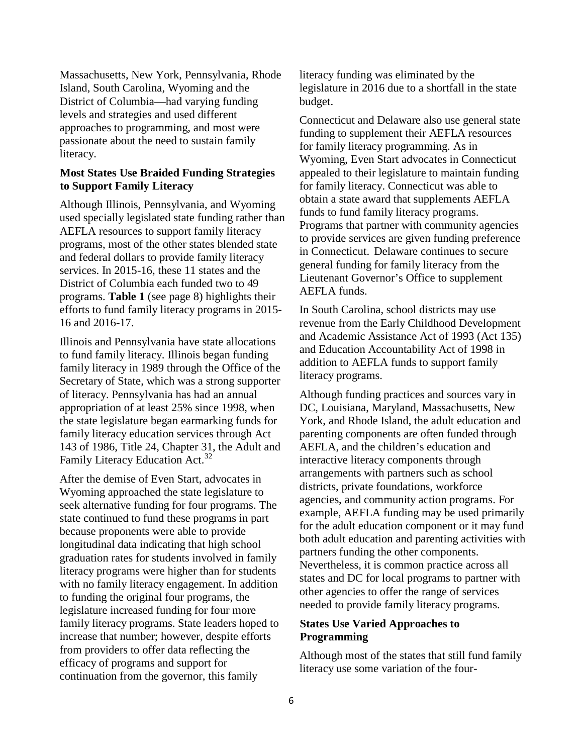Massachusetts, New York, Pennsylvania, Rhode Island, South Carolina, Wyoming and the District of Columbia—had varying funding levels and strategies and used different approaches to programming, and most were passionate about the need to sustain family literacy.

## **Most States Use Braided Funding Strategies to Support Family Literacy**

Although Illinois, Pennsylvania, and Wyoming used specially legislated state funding rather than AEFLA resources to support family literacy programs, most of the other states blended state and federal dollars to provide family literacy services. In 2015-16, these 11 states and the District of Columbia each funded two to 49 programs. **Table 1** (see page 8) highlights their efforts to fund family literacy programs in 2015- 16 and 2016-17.

Illinois and Pennsylvania have state allocations to fund family literacy. Illinois began funding family literacy in 1989 through the Office of the Secretary of State, which was a strong supporter of literacy. Pennsylvania has had an annual appropriation of at least 25% since 1998, when the state legislature began earmarking funds for family literacy education services through Act 143 of 1986, Title 24, Chapter 31, the Adult and Family Literacy Education Act.<sup>[32](#page-15-13)</sup>

After the demise of Even Start, advocates in Wyoming approached the state legislature to seek alternative funding for four programs. The state continued to fund these programs in part because proponents were able to provide longitudinal data indicating that high school graduation rates for students involved in family literacy programs were higher than for students with no family literacy engagement. In addition to funding the original four programs, the legislature increased funding for four more family literacy programs. State leaders hoped to increase that number; however, despite efforts from providers to offer data reflecting the efficacy of programs and support for continuation from the governor, this family

literacy funding was eliminated by the legislature in 2016 due to a shortfall in the state budget.

Connecticut and Delaware also use general state funding to supplement their AEFLA resources for family literacy programming. As in Wyoming, Even Start advocates in Connecticut appealed to their legislature to maintain funding for family literacy. Connecticut was able to obtain a state award that supplements AEFLA funds to fund family literacy programs. Programs that partner with community agencies to provide services are given funding preference in Connecticut. Delaware continues to secure general funding for family literacy from the Lieutenant Governor's Office to supplement AEFLA funds.

In South Carolina, school districts may use revenue from the Early Childhood Development and Academic Assistance Act of 1993 (Act 135) and Education Accountability Act of 1998 in addition to AEFLA funds to support family literacy programs.

Although funding practices and sources vary in DC, Louisiana, Maryland, Massachusetts, New York, and Rhode Island, the adult education and parenting components are often funded through AEFLA, and the children's education and interactive literacy components through arrangements with partners such as school districts, private foundations, workforce agencies, and community action programs. For example, AEFLA funding may be used primarily for the adult education component or it may fund both adult education and parenting activities with partners funding the other components. Nevertheless, it is common practice across all states and DC for local programs to partner with other agencies to offer the range of services needed to provide family literacy programs.

#### **States Use Varied Approaches to Programming**

Although most of the states that still fund family literacy use some variation of the four-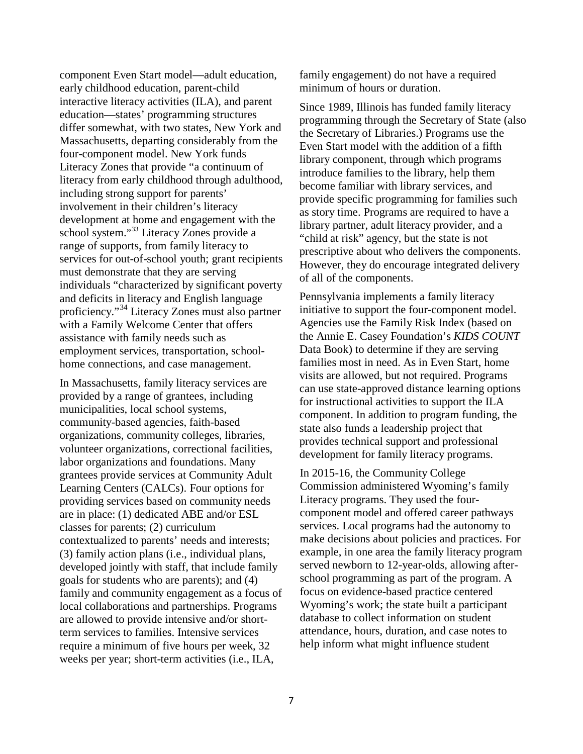component Even Start model—adult education, early childhood education, parent-child interactive literacy activities (ILA), and parent education—states' programming structures differ somewhat, with two states, New York and Massachusetts, departing considerably from the four-component model. New York funds Literacy Zones that provide "a continuum of literacy from early childhood through adulthood, including strong support for parents' involvement in their children's literacy development at home and engagement with the school system."[33](#page-15-14) Literacy Zones provide a range of supports, from family literacy to services for out-of-school youth; grant recipients must demonstrate that they are serving individuals "characterized by significant poverty and deficits in literacy and English language proficiency."[34](#page-15-15) Literacy Zones must also partner with a Family Welcome Center that offers assistance with family needs such as employment services, transportation, schoolhome connections, and case management.

In Massachusetts, family literacy services are provided by a range of grantees, including municipalities, local school systems, community-based agencies, faith-based organizations, community colleges, libraries, volunteer organizations, correctional facilities, labor organizations and foundations. Many grantees provide services at Community Adult Learning Centers (CALCs). Four options for providing services based on community needs are in place: (1) dedicated ABE and/or ESL classes for parents; (2) curriculum contextualized to parents' needs and interests; (3) family action plans (i.e., individual plans, developed jointly with staff, that include family goals for students who are parents); and (4) family and community engagement as a focus of local collaborations and partnerships. Programs are allowed to provide intensive and/or shortterm services to families. Intensive services require a minimum of five hours per week, 32 weeks per year; short-term activities (i.e., ILA,

family engagement) do not have a required minimum of hours or duration.

Since 1989, Illinois has funded family literacy programming through the Secretary of State (also the Secretary of Libraries.) Programs use the Even Start model with the addition of a fifth library component, through which programs introduce families to the library, help them become familiar with library services, and provide specific programming for families such as story time. Programs are required to have a library partner, adult literacy provider, and a "child at risk" agency, but the state is not prescriptive about who delivers the components. However, they do encourage integrated delivery of all of the components.

Pennsylvania implements a family literacy initiative to support the four-component model. Agencies use the Family Risk Index (based on the Annie E. Casey Foundation's *KIDS COUNT* Data Book) to determine if they are serving families most in need. As in Even Start, home visits are allowed, but not required. Programs can use state-approved distance learning options for instructional activities to support the ILA component. In addition to program funding, the state also funds a leadership project that provides technical support and professional development for family literacy programs.

In 2015-16, the Community College Commission administered Wyoming's family Literacy programs. They used the fourcomponent model and offered career pathways services. Local programs had the autonomy to make decisions about policies and practices. For example, in one area the family literacy program served newborn to 12-year-olds, allowing afterschool programming as part of the program. A focus on evidence-based practice centered Wyoming's work; the state built a participant database to collect information on student attendance, hours, duration, and case notes to help inform what might influence student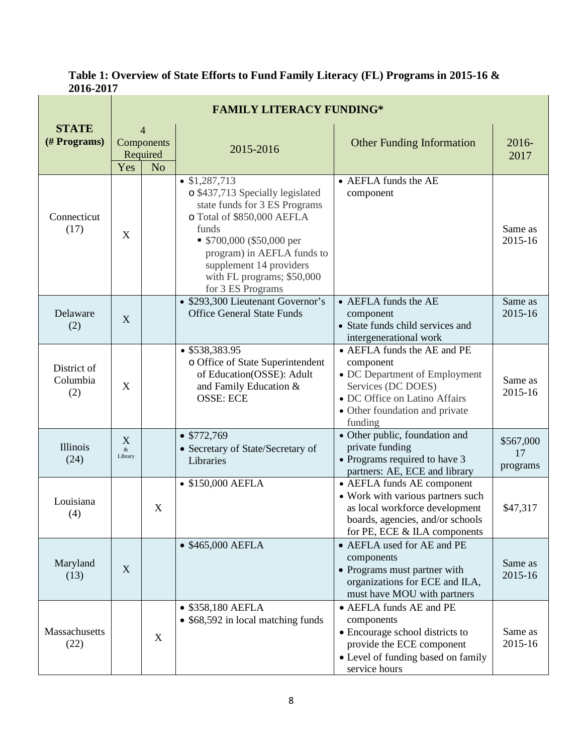**Table 1: Overview of State Efforts to Fund Family Literacy (FL) Programs in 2015-16 & 2016-2017**

| <b>STATE</b><br>(# Programs)   | <b>FAMILY LITERACY FUNDING*</b>                                   |   |                                                                                                                                                                                                                                                                          |                                                                                                                                                                               |                             |  |  |
|--------------------------------|-------------------------------------------------------------------|---|--------------------------------------------------------------------------------------------------------------------------------------------------------------------------------------------------------------------------------------------------------------------------|-------------------------------------------------------------------------------------------------------------------------------------------------------------------------------|-----------------------------|--|--|
|                                | $\overline{4}$<br>Components<br>Required<br>Yes<br>N <sub>o</sub> |   | 2015-2016                                                                                                                                                                                                                                                                | <b>Other Funding Information</b>                                                                                                                                              | 2016-<br>2017               |  |  |
| Connecticut<br>(17)            | X                                                                 |   | $\bullet$ \$1,287,713<br>o \$437,713 Specially legislated<br>state funds for 3 ES Programs<br>o Total of \$850,000 AEFLA<br>funds<br>$$700,000 ($50,000$ per<br>program) in AEFLA funds to<br>supplement 14 providers<br>with FL programs; \$50,000<br>for 3 ES Programs | • AEFLA funds the AE<br>component                                                                                                                                             | Same as<br>2015-16          |  |  |
| Delaware<br>(2)                | X                                                                 |   | • \$293,300 Lieutenant Governor's<br><b>Office General State Funds</b>                                                                                                                                                                                                   | • AEFLA funds the AE<br>component<br>• State funds child services and<br>intergenerational work                                                                               | Same as<br>2015-16          |  |  |
| District of<br>Columbia<br>(2) | $\mathbf X$                                                       |   | $•$ \$538,383.95<br>o Office of State Superintendent<br>of Education(OSSE): Adult<br>and Family Education &<br><b>OSSE: ECE</b>                                                                                                                                          | • AEFLA funds the AE and PE<br>component<br>• DC Department of Employment<br>Services (DC DOES)<br>• DC Office on Latino Affairs<br>• Other foundation and private<br>funding | Same as<br>2015-16          |  |  |
| Illinois<br>(24)               | X<br>$\&$<br>Library                                              |   | \$772,769<br>• Secretary of State/Secretary of<br>Libraries                                                                                                                                                                                                              | • Other public, foundation and<br>private funding<br>• Programs required to have 3<br>partners: AE, ECE and library                                                           | \$567,000<br>17<br>programs |  |  |
| Louisiana<br>(4)               |                                                                   | X | • \$150,000 AEFLA                                                                                                                                                                                                                                                        | • AEFLA funds AE component<br>• Work with various partners such<br>as local workforce development<br>boards, agencies, and/or schools<br>for PE, ECE & ILA components         | \$47,317                    |  |  |
| Maryland<br>(13)               | X                                                                 |   | • \$465,000 AEFLA                                                                                                                                                                                                                                                        | • AEFLA used for AE and PE<br>components<br>• Programs must partner with<br>organizations for ECE and ILA,<br>must have MOU with partners                                     | Same as<br>2015-16          |  |  |
| Massachusetts<br>(22)          |                                                                   | X | • \$358,180 AEFLA<br>• \$68,592 in local matching funds                                                                                                                                                                                                                  | • AEFLA funds AE and PE<br>components<br>• Encourage school districts to<br>provide the ECE component<br>• Level of funding based on family<br>service hours                  | Same as<br>2015-16          |  |  |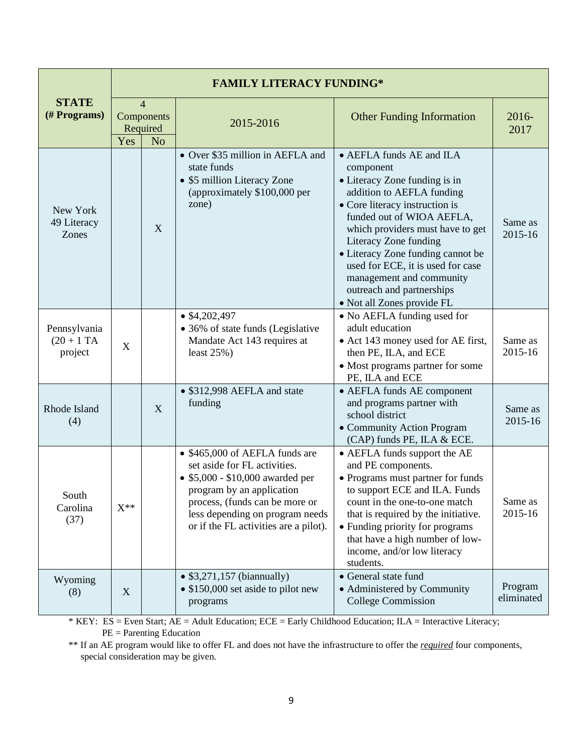| <b>STATE</b><br>(# Programs)             | <b>FAMILY LITERACY FUNDING*</b>                                   |   |                                                                                                                                                                                                                                               |                                                                                                                                                                                                                                                                                                                                                                                                  |                       |  |  |
|------------------------------------------|-------------------------------------------------------------------|---|-----------------------------------------------------------------------------------------------------------------------------------------------------------------------------------------------------------------------------------------------|--------------------------------------------------------------------------------------------------------------------------------------------------------------------------------------------------------------------------------------------------------------------------------------------------------------------------------------------------------------------------------------------------|-----------------------|--|--|
|                                          | $\overline{4}$<br>Components<br>Required<br>Yes<br>N <sub>o</sub> |   | 2015-2016                                                                                                                                                                                                                                     | <b>Other Funding Information</b>                                                                                                                                                                                                                                                                                                                                                                 | 2016-<br>2017         |  |  |
| New York<br>49 Literacy<br>Zones         |                                                                   | X | • Over \$35 million in AEFLA and<br>state funds<br>• \$5 million Literacy Zone<br>(approximately \$100,000 per<br>zone)                                                                                                                       | • AEFLA funds AE and ILA<br>component<br>• Literacy Zone funding is in<br>addition to AEFLA funding<br>• Core literacy instruction is<br>funded out of WIOA AEFLA,<br>which providers must have to get<br>Literacy Zone funding<br>• Literacy Zone funding cannot be<br>used for ECE, it is used for case<br>management and community<br>outreach and partnerships<br>• Not all Zones provide FL | Same as<br>2015-16    |  |  |
| Pennsylvania<br>$(20 + 1)$ TA<br>project | X                                                                 |   | $\bullet$ \$4,202,497<br>• 36% of state funds (Legislative<br>Mandate Act 143 requires at<br>least $25\%$ )                                                                                                                                   | • No AEFLA funding used for<br>adult education<br>• Act 143 money used for AE first,<br>then PE, ILA, and ECE<br>• Most programs partner for some<br>PE, ILA and ECE                                                                                                                                                                                                                             | Same as<br>2015-16    |  |  |
| Rhode Island<br>(4)                      |                                                                   | X | • \$312,998 AEFLA and state<br>funding                                                                                                                                                                                                        | • AEFLA funds AE component<br>and programs partner with<br>school district<br>• Community Action Program<br>(CAP) funds PE, ILA & ECE.                                                                                                                                                                                                                                                           | Same as<br>2015-16    |  |  |
| South<br>Carolina<br>(37)                | $X^{**}$                                                          |   | • \$465,000 of AEFLA funds are<br>set aside for FL activities.<br>• \$5,000 - \$10,000 awarded per<br>program by an application<br>process, (funds can be more or<br>less depending on program needs<br>or if the FL activities are a pilot). | • AEFLA funds support the AE<br>and PE components.<br>• Programs must partner for funds<br>to support ECE and ILA. Funds<br>count in the one-to-one match<br>that is required by the initiative.<br>• Funding priority for programs<br>that have a high number of low-<br>income, and/or low literacy<br>students.                                                                               | Same as<br>2015-16    |  |  |
| Wyoming<br>(8)                           | X                                                                 |   | • $$3,271,157$ (biannually)<br>• \$150,000 set aside to pilot new<br>programs                                                                                                                                                                 | • General state fund<br>• Administered by Community<br><b>College Commission</b>                                                                                                                                                                                                                                                                                                                 | Program<br>eliminated |  |  |

\* KEY: ES = Even Start; AE = Adult Education; ECE = Early Childhood Education; ILA = Interactive Literacy; PE = Parenting Education

\*\* If an AE program would like to offer FL and does not have the infrastructure to offer the *required* four components, special consideration may be given.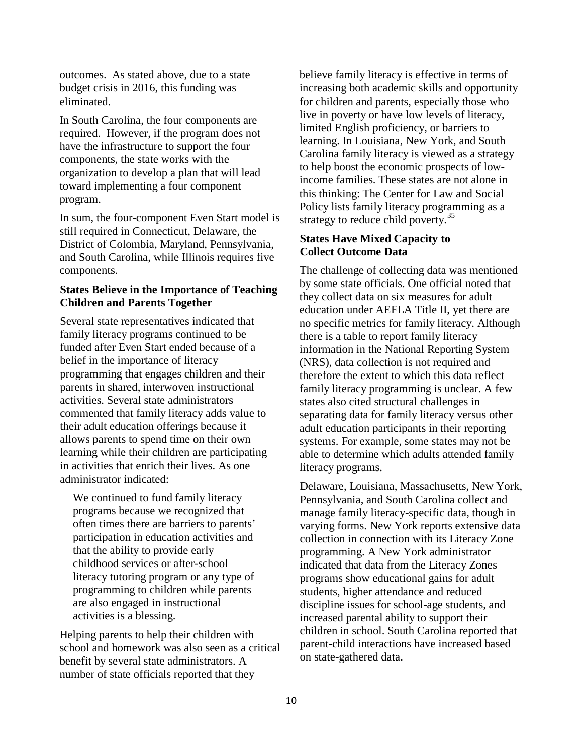outcomes. As stated above, due to a state budget crisis in 2016, this funding was eliminated.

In South Carolina, the four components are required. However, if the program does not have the infrastructure to support the four components, the state works with the organization to develop a plan that will lead toward implementing a four component program.

In sum, the four-component Even Start model is still required in Connecticut, Delaware, the District of Colombia, Maryland, Pennsylvania, and South Carolina, while Illinois requires five components.

#### **States Believe in the Importance of Teaching Children and Parents Together**

Several state representatives indicated that family literacy programs continued to be funded after Even Start ended because of a belief in the importance of literacy programming that engages children and their parents in shared, interwoven instructional activities. Several state administrators commented that family literacy adds value to their adult education offerings because it allows parents to spend time on their own learning while their children are participating in activities that enrich their lives. As one administrator indicated:

We continued to fund family literacy programs because we recognized that often times there are barriers to parents' participation in education activities and that the ability to provide early childhood services or after-school literacy tutoring program or any type of programming to children while parents are also engaged in instructional activities is a blessing.

Helping parents to help their children with school and homework was also seen as a critical benefit by several state administrators. A number of state officials reported that they

believe family literacy is effective in terms of increasing both academic skills and opportunity for children and parents, especially those who live in poverty or have low levels of literacy, limited English proficiency, or barriers to learning. In Louisiana, New York, and South Carolina family literacy is viewed as a strategy to help boost the economic prospects of lowincome families. These states are not alone in this thinking: The Center for Law and Social Policy lists family literacy programming as a strategy to reduce child poverty. $35$ 

# **States Have Mixed Capacity to Collect Outcome Data**

The challenge of collecting data was mentioned by some state officials. One official noted that they collect data on six measures for adult education under AEFLA Title II, yet there are no specific metrics for family literacy. Although there is a table to report family literacy information in the National Reporting System (NRS), data collection is not required and therefore the extent to which this data reflect family literacy programming is unclear. A few states also cited structural challenges in separating data for family literacy versus other adult education participants in their reporting systems. For example, some states may not be able to determine which adults attended family literacy programs.

Delaware, Louisiana, Massachusetts, New York, Pennsylvania, and South Carolina collect and manage family literacy-specific data, though in varying forms. New York reports extensive data collection in connection with its Literacy Zone programming. A New York administrator indicated that data from the Literacy Zones programs show educational gains for adult students, higher attendance and reduced discipline issues for school-age students, and increased parental ability to support their children in school. South Carolina reported that parent-child interactions have increased based on state-gathered data.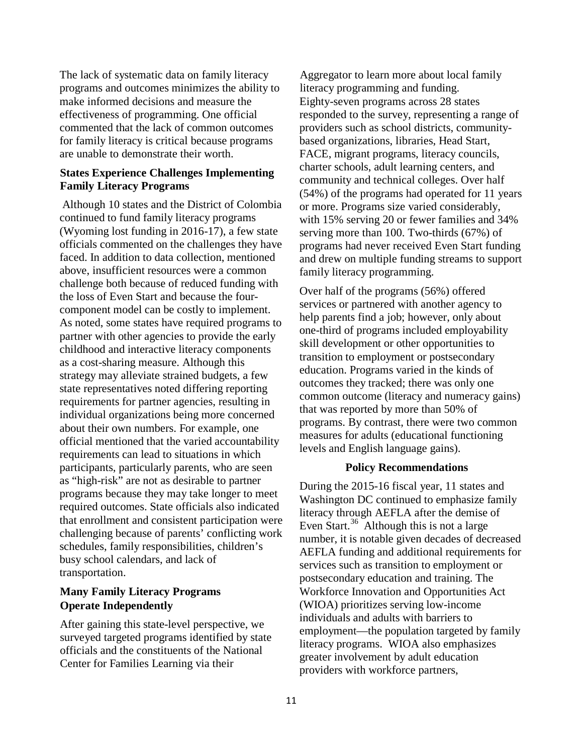The lack of systematic data on family literacy programs and outcomes minimizes the ability to make informed decisions and measure the effectiveness of programming. One official commented that the lack of common outcomes for family literacy is critical because programs are unable to demonstrate their worth.

## **States Experience Challenges Implementing Family Literacy Programs**

Although 10 states and the District of Colombia continued to fund family literacy programs (Wyoming lost funding in 2016-17), a few state officials commented on the challenges they have faced. In addition to data collection, mentioned above, insufficient resources were a common challenge both because of reduced funding with the loss of Even Start and because the fourcomponent model can be costly to implement. As noted, some states have required programs to partner with other agencies to provide the early childhood and interactive literacy components as a cost-sharing measure. Although this strategy may alleviate strained budgets, a few state representatives noted differing reporting requirements for partner agencies, resulting in individual organizations being more concerned about their own numbers. For example, one official mentioned that the varied accountability requirements can lead to situations in which participants, particularly parents, who are seen as "high-risk" are not as desirable to partner programs because they may take longer to meet required outcomes. State officials also indicated that enrollment and consistent participation were challenging because of parents' conflicting work schedules, family responsibilities, children's busy school calendars, and lack of transportation.

# **Many Family Literacy Programs Operate Independently**

After gaining this state-level perspective, we surveyed targeted programs identified by state officials and the constituents of the National Center for Families Learning via their

Aggregator to learn more about local family literacy programming and funding. Eighty-seven programs across 28 states responded to the survey, representing a range of providers such as school districts, communitybased organizations, libraries, Head Start, FACE, migrant programs, literacy councils, charter schools, adult learning centers, and community and technical colleges. Over half (54%) of the programs had operated for 11 years or more. Programs size varied considerably, with 15% serving 20 or fewer families and 34% serving more than 100. Two-thirds (67%) of programs had never received Even Start funding and drew on multiple funding streams to support family literacy programming.

Over half of the programs (56%) offered services or partnered with another agency to help parents find a job; however, only about one-third of programs included employability skill development or other opportunities to transition to employment or postsecondary education. Programs varied in the kinds of outcomes they tracked; there was only one common outcome (literacy and numeracy gains) that was reported by more than 50% of programs. By contrast, there were two common measures for adults (educational functioning levels and English language gains).

#### **Policy Recommendations**

During the 2015-16 fiscal year, 11 states and Washington DC continued to emphasize family literacy through AEFLA after the demise of Even Start.<sup>[36](#page-15-17)</sup> Although this is not a large number, it is notable given decades of decreased AEFLA funding and additional requirements for services such as transition to employment or postsecondary education and training. The Workforce Innovation and Opportunities Act (WIOA) prioritizes serving low-income individuals and adults with barriers to employment—the population targeted by family literacy programs. WIOA also emphasizes greater involvement by adult education providers with workforce partners,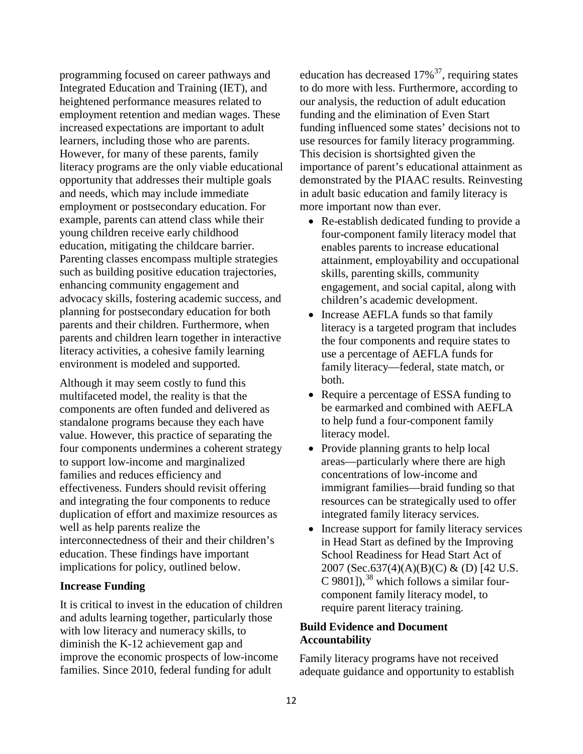programming focused on career pathways and Integrated Education and Training (IET), and heightened performance measures related to employment retention and median wages. These increased expectations are important to adult learners, including those who are parents. However, for many of these parents, family literacy programs are the only viable educational opportunity that addresses their multiple goals and needs, which may include immediate employment or postsecondary education. For example, parents can attend class while their young children receive early childhood education, mitigating the childcare barrier. Parenting classes encompass multiple strategies such as building positive education trajectories, enhancing community engagement and advocacy skills, fostering academic success, and planning for postsecondary education for both parents and their children. Furthermore, when parents and children learn together in interactive literacy activities, a cohesive family learning environment is modeled and supported.

Although it may seem costly to fund this multifaceted model, the reality is that the components are often funded and delivered as standalone programs because they each have value. However, this practice of separating the four components undermines a coherent strategy to support low-income and marginalized families and reduces efficiency and effectiveness. Funders should revisit offering and integrating the four components to reduce duplication of effort and maximize resources as well as help parents realize the interconnectedness of their and their children's education. These findings have important implications for policy, outlined below.

#### **Increase Funding**

It is critical to invest in the education of children and adults learning together, particularly those with low literacy and numeracy skills, to diminish the K-12 achievement gap and improve the economic prospects of low-income families. Since 2010, federal funding for adult

education has decreased  $17\%$ <sup>[37](#page-15-18)</sup>, requiring states to do more with less. Furthermore, according to our analysis, the reduction of adult education funding and the elimination of Even Start funding influenced some states' decisions not to use resources for family literacy programming. This decision is shortsighted given the importance of parent's educational attainment as demonstrated by the PIAAC results. Reinvesting in adult basic education and family literacy is more important now than ever.

- Re-establish dedicated funding to provide a four-component family literacy model that enables parents to increase educational attainment, employability and occupational skills, parenting skills, community engagement, and social capital, along with children's academic development.
- Increase AEFLA funds so that family literacy is a targeted program that includes the four components and require states to use a percentage of AEFLA funds for family literacy—federal, state match, or both.
- Require a percentage of ESSA funding to be earmarked and combined with AEFLA to help fund a four-component family literacy model.
- Provide planning grants to help local areas—particularly where there are high concentrations of low-income and immigrant families—braid funding so that resources can be strategically used to offer integrated family literacy services.
- Increase support for family literacy services in Head Start as defined by the Improving School Readiness for Head Start Act of 2007 (Sec.637(4)(A)(B)(C) & (D) [42 U.S. C 9801]),  $38$  which follows a similar fourcomponent family literacy model, to require parent literacy training.

# **Build Evidence and Document Accountability**

Family literacy programs have not received adequate guidance and opportunity to establish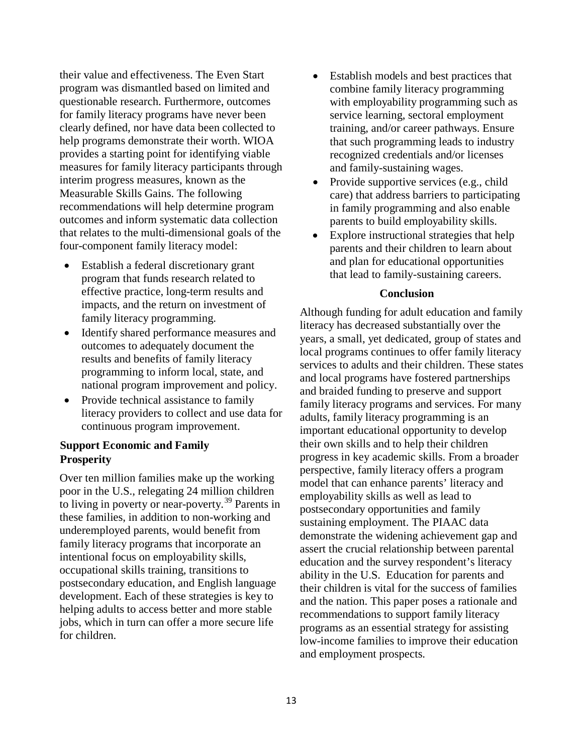their value and effectiveness. The Even Start program was dismantled based on limited and questionable research. Furthermore, outcomes for family literacy programs have never been clearly defined, nor have data been collected to help programs demonstrate their worth. WIOA provides a starting point for identifying viable measures for family literacy participants through interim progress measures, known as the Measurable Skills Gains. The following recommendations will help determine program outcomes and inform systematic data collection that relates to the multi-dimensional goals of the four-component family literacy model:

- Establish a federal discretionary grant program that funds research related to effective practice, long-term results and impacts, and the return on investment of family literacy programming.
- Identify shared performance measures and outcomes to adequately document the results and benefits of family literacy programming to inform local, state, and national program improvement and policy.
- Provide technical assistance to family literacy providers to collect and use data for continuous program improvement.

# **Support Economic and Family Prosperity**

Over ten million families make up the working poor in the U.S., relegating 24 million children to living in poverty or near-poverty.<sup>[39](#page-15-20)</sup> Parents in these families, in addition to non-working and underemployed parents, would benefit from family literacy programs that incorporate an intentional focus on employability skills, occupational skills training, transitions to postsecondary education, and English language development. Each of these strategies is key to helping adults to access better and more stable jobs, which in turn can offer a more secure life for children.

- Establish models and best practices that combine family literacy programming with employability programming such as service learning, sectoral employment training, and/or career pathways. Ensure that such programming leads to industry recognized credentials and/or licenses and family-sustaining wages.
- Provide supportive services (e.g., child care) that address barriers to participating in family programming and also enable parents to build employability skills.
- Explore instructional strategies that help parents and their children to learn about and plan for educational opportunities that lead to family-sustaining careers.

#### **Conclusion**

Although funding for adult education and family literacy has decreased substantially over the years, a small, yet dedicated, group of states and local programs continues to offer family literacy services to adults and their children. These states and local programs have fostered partnerships and braided funding to preserve and support family literacy programs and services. For many adults, family literacy programming is an important educational opportunity to develop their own skills and to help their children progress in key academic skills. From a broader perspective, family literacy offers a program model that can enhance parents' literacy and employability skills as well as lead to postsecondary opportunities and family sustaining employment. The PIAAC data demonstrate the widening achievement gap and assert the crucial relationship between parental education and the survey respondent's literacy ability in the U.S. Education for parents and their children is vital for the success of families and the nation. This paper poses a rationale and recommendations to support family literacy programs as an essential strategy for assisting low-income families to improve their education and employment prospects.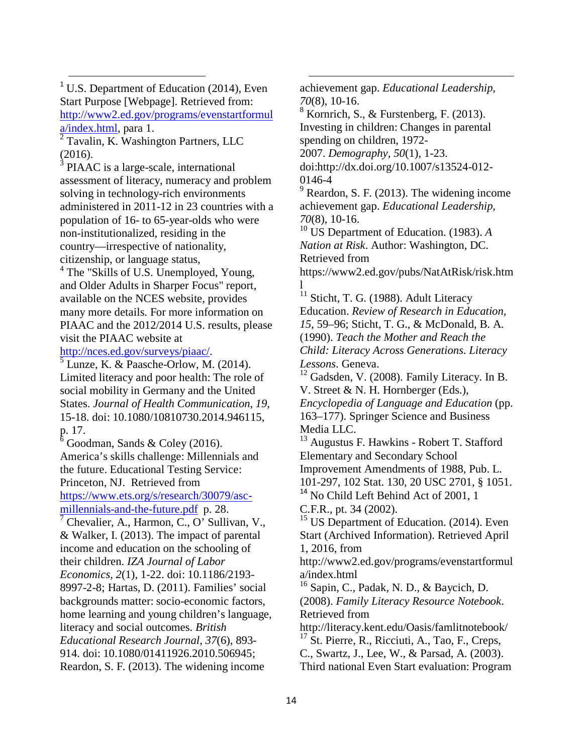<span id="page-13-0"></span> $1$  U.S. Department of Education (2014), Even Start Purpose [Webpage]. Retrieved from: [http://www2.ed.gov/programs/evenstartformul](http://www2.ed.gov/programs/evenstartformula/index.html) [a/index.html,](http://www2.ed.gov/programs/evenstartformula/index.html) para 1.

<span id="page-13-1"></span><sup>2</sup> Tavalin, K. Washington Partners, LLC (2016).

<span id="page-13-2"></span> $3$  PIAAC is a large-scale, international assessment of literacy, numeracy and problem solving in technology-rich environments administered in 2011-12 in 23 countries with a population of 16- to 65-year-olds who were non-institutionalized, residing in the country—irrespective of nationality, citizenship, or language status, <sup>4</sup> The "Skills of U.S. Unemployed, Young,

<span id="page-13-3"></span>and Older Adults in Sharper Focus" report, available on the NCES website, provides many more details. For more information on PIAAC and the 2012/2014 U.S. results, please visit the PIAAC website at

<span id="page-13-4"></span>[http://nces.ed.gov/surveys/piaac/.](https://nces.ed.gov/surveys/piaac/)<br><sup>5</sup> Lunze, K. & Paasche-Orlow, M. (2014). Limited literacy and poor health: The role of social mobility in Germany and the United States. *Journal of Health Communication*, *19*, 15-18. doi: 10.1080/10810730.2014.946115, p. 17.

<span id="page-13-5"></span> $\delta$  Goodman, Sands & Coley (2016). America's skills challenge: Millennials and the future. Educational Testing Service: Princeton, NJ. Retrieved from

[https://www.ets.org/s/research/30079/asc](https://www.ets.org/s/research/30079/asc-millennials-and-the-future.pdf)[millennials-and-the-future.pdf](https://www.ets.org/s/research/30079/asc-millennials-and-the-future.pdf) p. 28.

<span id="page-13-6"></span><sup>7</sup> Chevalier, A., Harmon, C., O' Sullivan, V., & Walker, I. (2013). The impact of parental income and education on the schooling of their children. *IZA Journal of Labor Economics, 2*(1), 1-22. doi: 10.1186/2193- 8997-2-8; Hartas, D. (2011). Families' social backgrounds matter: socio-economic factors, home learning and young children's language, literacy and social outcomes. *British Educational Research Journal, 37*(6), 893- 914. doi: 10.1080/01411926.2010.506945; Reardon, S. F. (2013). The widening income

achievement gap. *Educational Leadership, 70*(8), 10-16.

 $8$  Kornrich, S., & Furstenberg, F. (2013). Investing in children: Changes in parental spending on children, 1972-

2007. *Demography, 50*(1), 1-23.

 $\overline{a}$ 

doi:http://dx.doi.org/10.1007/s13524-012- 0146-4

 $9$  Reardon, S. F. (2013). The widening income achievement gap. *Educational Leadership, 70*(8), 10-16.

<sup>10</sup> US Department of Education. (1983). *A Nation at Risk*. Author: Washington, DC. Retrieved from

https://www2.ed.gov/pubs/NatAtRisk/risk.htm l

<sup>11</sup> Sticht, T. G. (1988). Adult Literacy Education. *Review of Research in Education*, *15*, 59–96; Sticht, T. G., & McDonald, B. A. (1990). *Teach the Mother and Reach the Child: Literacy Across Generations*. *Literacy Lessons*. Geneva.

 $12$  Gadsden, V. (2008). Family Literacy. In B. V. Street & N. H. Hornberger (Eds.), *Encyclopedia of Language and Education* (pp. 163–177). Springer Science and Business Media LLC.

<sup>13</sup> Augustus F. Hawkins - Robert T. Stafford Elementary and Secondary School Improvement Amendments of 1988, Pub. L.

101-297, 102 Stat. 130, 20 USC 2701, § 1051. <sup>14</sup> No Child Left Behind Act of 2001, 1 C.F.R., pt. 34 (2002).

 $15$  US Department of Education. (2014). Even Start (Archived Information). Retrieved April 1, 2016, from

http://www2.ed.gov/programs/evenstartformul a/index.html

<sup>16</sup> Sapin, C., Padak, N. D., & Baycich, D. (2008). *Family Literacy Resource Notebook*. Retrieved from

http://literacy.kent.edu/Oasis/famlitnotebook/

 $17$  St. Pierre, R., Ricciuti, A., Tao, F., Creps,

C., Swartz, J., Lee, W., & Parsad, A. (2003).

Third national Even Start evaluation: Program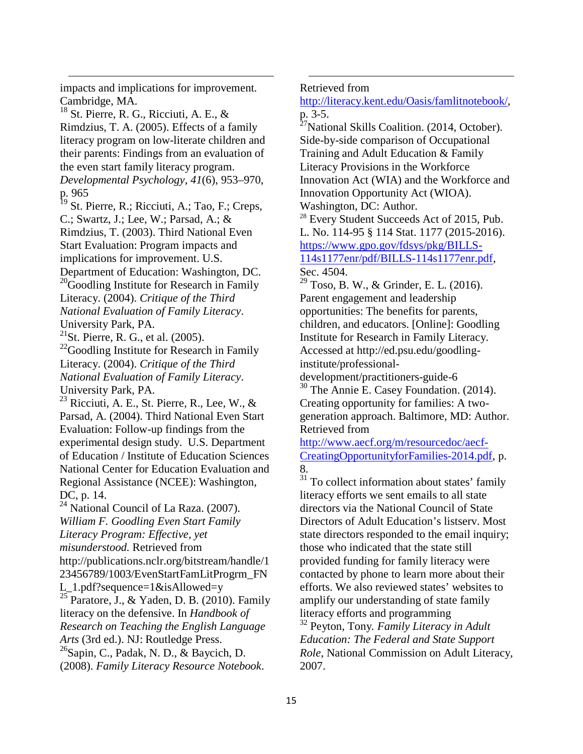impacts and implications for improvement. Cambridge, MA.

.

<span id="page-14-0"></span> $18$  St. Pierre, R. G., Ricciuti, A. E., & Rimdzius, T. A. (2005). Effects of a family literacy program on low-literate children and their parents: Findings from an evaluation of the even start family literacy program.

<span id="page-14-1"></span>*Developmental Psychology*, *41*(6), 953–970, p. 965

<span id="page-14-2"></span><sup>19</sup> St. Pierre, R.; Ricciuti, A.; Tao, F.; Creps, C.; Swartz, J.; Lee, W.; Parsad, A.; & Rimdzius, T. (2003). Third National Even Start Evaluation: Program impacts and implications for improvement. U.S. Department of Education: Washington, DC.

<span id="page-14-3"></span><sup>20</sup>Goodling Institute for Research in Family Literacy. (2004). *Critique of the Third National Evaluation of Family Literacy*. University Park, PA.

<sup>21</sup>St. Pierre, R. G., et al.  $(2005)$ .

 $^{22}$ Goodling Institute for Research in Family Literacy. (2004). *Critique of the Third National Evaluation of Family Literacy*. University Park, PA.

<span id="page-14-5"></span><span id="page-14-4"></span><sup>23</sup> Ricciuti, A. E., St. Pierre, R., Lee, W., & Parsad, A. (2004). Third National Even Start Evaluation: Follow-up findings from the experimental design study. U.S. Department of Education / Institute of Education Sciences National Center for Education Evaluation and Regional Assistance (NCEE): Washington, DC, p. 14.

<span id="page-14-9"></span><span id="page-14-8"></span><span id="page-14-7"></span><span id="page-14-6"></span> $24$  National Council of La Raza. (2007). *William F. Goodling Even Start Family Literacy Program: Effective, yet misunderstood.* Retrieved from http://publications.nclr.org/bitstream/handle/1 23456789/1003/EvenStartFamLitProgrm\_FN L  $1.pdf?$ sequence= $1&$ kisAllowed=y  $\frac{25}{25}$  Paratore, J., & Yaden, D. B. (2010). Family literacy on the defensive. In *Handbook of Research on Teaching the English Language Arts* (3rd ed.). NJ: Routledge Press.  $^{26}$ Sapin, C., Padak, N. D., & Baycich, D. (2008). *Family Literacy Resource Notebook*.

Retrieved from

 $\overline{a}$ 

[http://literacy.kent.edu/Oasis/famlitnotebook/,](http://literacy.kent.edu/Oasis/famlitnotebook/) p. 3-5.

<sup>27</sup>National Skills Coalition. (2014, October). Side-by-side comparison of Occupational Training and Adult Education & Family Literacy Provisions in the Workforce Innovation Act (WIA) and the Workforce and Innovation Opportunity Act (WIOA). Washington, DC: Author.

<sup>28</sup> Every Student Succeeds Act of 2015, Pub. L. No. 114-95 § 114 Stat. 1177 (2015-2016). [https://www.gpo.gov/fdsys/pkg/BILLS-](https://www.gpo.gov/fdsys/pkg/BILLS-114s1177enr/pdf/BILLS-114s1177enr.pdf)[114s1177enr/pdf/BILLS-114s1177enr.pdf,](https://www.gpo.gov/fdsys/pkg/BILLS-114s1177enr/pdf/BILLS-114s1177enr.pdf)

 $^{29}$  Toso, B. W., & Grinder, E. L. (2016). Parent engagement and leadership opportunities: The benefits for parents, children, and educators. [Online]: Goodling Institute for Research in Family Literacy. Accessed at http://ed.psu.edu/goodlinginstitute/professional-

development/practitioners-guide-6 <sup>30</sup> The Annie E. Casey Foundation. (2014). Creating opportunity for families: A twogeneration approach. Baltimore, MD: Author. Retrieved from

[http://www.aecf.org/m/resourcedoc/aecf-](http://www.aecf.org/m/resourcedoc/aecf-CreatingOpportunityforFamilies-2014.pdf)[CreatingOpportunityforFamilies-2014.pdf,](http://www.aecf.org/m/resourcedoc/aecf-CreatingOpportunityforFamilies-2014.pdf) p. 8.

<sup>31</sup> To collect information about states' family literacy efforts we sent emails to all state directors via the National Council of State Directors of Adult Education's listserv. Most state directors responded to the email inquiry; those who indicated that the state still provided funding for family literacy were contacted by phone to learn more about their efforts. We also reviewed states' websites to amplify our understanding of state family literacy efforts and programming

<sup>32</sup> Peyton, Tony*. Family Literacy in Adult Education: The Federal and State Support Role*, National Commission on Adult Literacy, 2007.